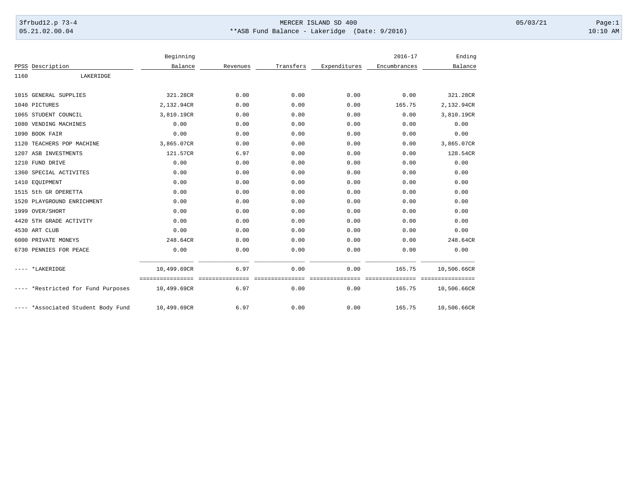## 3frbud12.p 73-4 Page:1 Page:1 05.21.02.00.04 \*\*ASB Fund Balance - Lakeridge (Date: 9/2016) 10:10 AM

|      |                                    | Beginning                                        |          |                         |                                               | $2016 - 17$  | Ending                           |
|------|------------------------------------|--------------------------------------------------|----------|-------------------------|-----------------------------------------------|--------------|----------------------------------|
|      | PPSS Description                   | Balance                                          | Revenues | Transfers               | Expenditures                                  | Encumbrances | Balance                          |
| 1160 | LAKERIDGE                          |                                                  |          |                         |                                               |              |                                  |
|      | 1015 GENERAL SUPPLIES              | 321.28CR                                         | 0.00     | 0.00                    | 0.00                                          | 0.00         | 321.28CR                         |
|      | 1040 PICTURES                      | 2,132.94CR                                       | 0.00     | 0.00                    | 0.00                                          | 165.75       | 2,132.94CR                       |
|      | 1065 STUDENT COUNCIL               | 3,810.19CR                                       | 0.00     | 0.00                    | 0.00                                          | 0.00         | 3,810.19CR                       |
|      | 1080 VENDING MACHINES              | 0.00                                             | 0.00     | 0.00                    | 0.00                                          | 0.00         | 0.00                             |
|      | 1090 BOOK FAIR                     | 0.00                                             | 0.00     | 0.00                    | 0.00                                          | 0.00         | 0.00                             |
|      | 1120 TEACHERS POP MACHINE          | 3,865.07CR                                       | 0.00     | 0.00                    | 0.00                                          | 0.00         | 3,865.07CR                       |
|      | 1207 ASB INVESTMENTS               | 121.57CR                                         | 6.97     | 0.00                    | 0.00                                          | 0.00         | 128.54CR                         |
|      | 1210 FUND DRIVE                    | 0.00                                             | 0.00     | 0.00                    | 0.00                                          | 0.00         | 0.00                             |
|      | 1360 SPECIAL ACTIVITES             | 0.00                                             | 0.00     | 0.00                    | 0.00                                          | 0.00         | 0.00                             |
|      | 1410 EQUIPMENT                     | 0.00                                             | 0.00     | 0.00                    | 0.00                                          | 0.00         | 0.00                             |
|      | 1515 5th GR OPERETTA               | 0.00                                             | 0.00     | 0.00                    | 0.00                                          | 0.00         | 0.00                             |
|      | 1520 PLAYGROUND ENRICHMENT         | 0.00                                             | 0.00     | 0.00                    | 0.00                                          | 0.00         | 0.00                             |
|      | 1999 OVER/SHORT                    | 0.00                                             | 0.00     | 0.00                    | 0.00                                          | 0.00         | 0.00                             |
|      | 4420 5TH GRADE ACTIVITY            | 0.00                                             | 0.00     | 0.00                    | 0.00                                          | 0.00         | 0.00                             |
|      | 4530 ART CLUB                      | 0.00                                             | 0.00     | 0.00                    | 0.00                                          | 0.00         | 0.00                             |
|      | 6000 PRIVATE MONEYS                | 248.64CR                                         | 0.00     | 0.00                    | 0.00                                          | 0.00         | 248.64CR                         |
|      | 6730 PENNIES FOR PEACE             | 0.00                                             | 0.00     | 0.00                    | 0.00                                          | 0.00         | 0.00                             |
|      | ---- *LAKERIDGE                    | 10,499.69CR                                      | 6.97     | 0.00                    | 0.00                                          | 165.75       | 10,506.66CR                      |
|      | ---- *Restricted for Fund Purposes | =================================<br>10,499.69CR | 6.97     | ===============<br>0.00 | _____________________________________<br>0.00 | 165.75       | -----------------<br>10,506.66CR |
|      | ---- *Associated Student Body Fund | 10,499.69CR                                      | 6.97     | 0.00                    | 0.00                                          | 165.75       | 10,506.66CR                      |